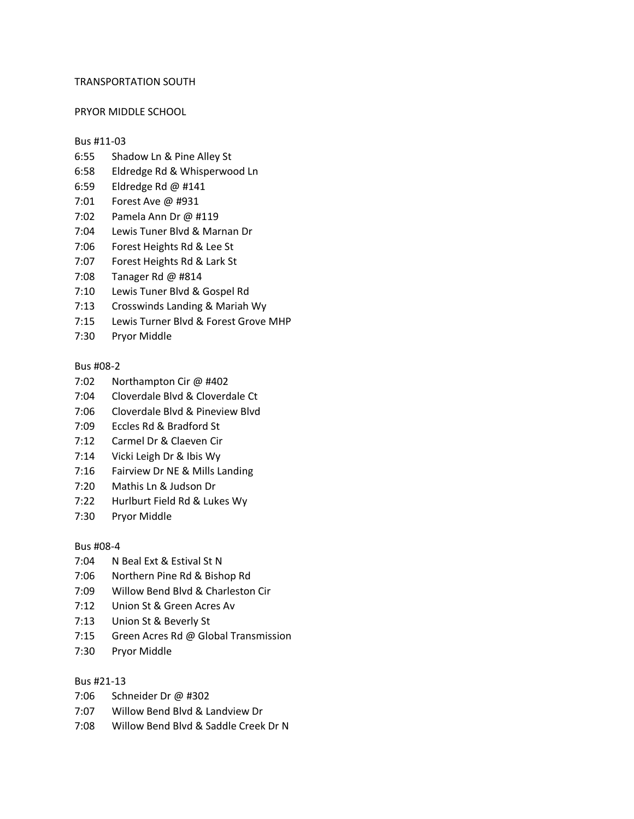# TRANSPORTATION SOUTH

#### PRYOR MIDDLE SCHOOL

#### Bus #11-03

- 6:55 Shadow Ln & Pine Alley St
- 6:58 Eldredge Rd & Whisperwood Ln
- 6:59 Eldredge Rd @ #141
- 7:01 Forest Ave @ #931
- 7:02 Pamela Ann Dr @ #119
- 7:04 Lewis Tuner Blvd & Marnan Dr
- 7:06 Forest Heights Rd & Lee St
- 7:07 Forest Heights Rd & Lark St
- 7:08 Tanager Rd @ #814
- 7:10 Lewis Tuner Blvd & Gospel Rd
- 7:13 Crosswinds Landing & Mariah Wy
- 7:15 Lewis Turner Blvd & Forest Grove MHP
- 7:30 Pryor Middle

# Bus #08-2

- 7:02 Northampton Cir @ #402
- 7:04 Cloverdale Blvd & Cloverdale Ct
- 7:06 Cloverdale Blvd & Pineview Blvd
- 7:09 Eccles Rd & Bradford St
- 7:12 Carmel Dr & Claeven Cir
- 7:14 Vicki Leigh Dr & Ibis Wy
- 7:16 Fairview Dr NE & Mills Landing
- 7:20 Mathis Ln & Judson Dr
- 7:22 Hurlburt Field Rd & Lukes Wy
- 7:30 Pryor Middle

# Bus #08-4

- 7:04 N Beal Ext & Estival St N
- 7:06 Northern Pine Rd & Bishop Rd
- 7:09 Willow Bend Blvd & Charleston Cir
- 7:12 Union St & Green Acres Av
- 7:13 Union St & Beverly St
- 7:15 Green Acres Rd @ Global Transmission
- 7:30 Pryor Middle

# Bus #21-13

- 7:06 Schneider Dr @ #302
- 7:07 Willow Bend Blvd & Landview Dr
- 7:08 Willow Bend Blvd & Saddle Creek Dr N